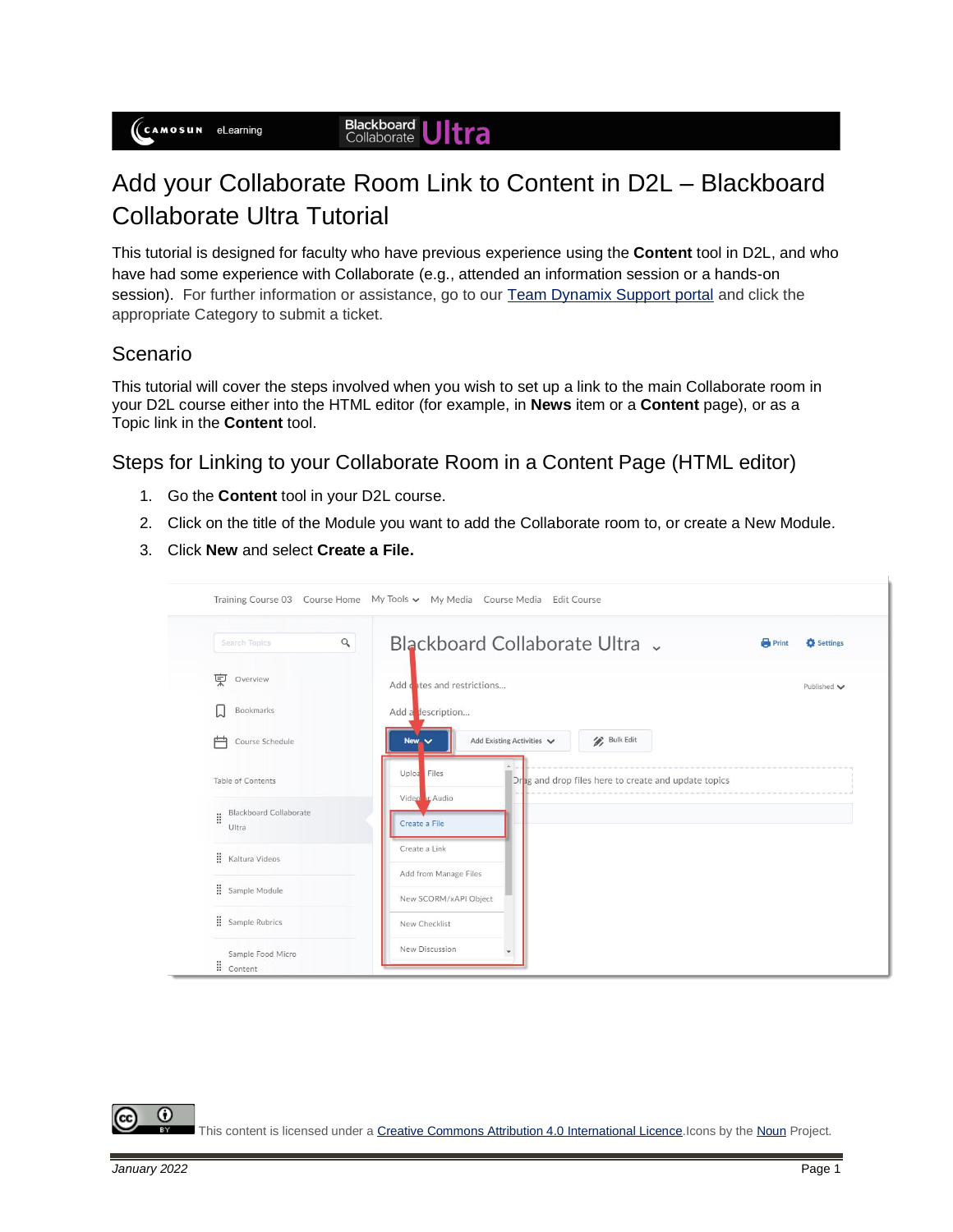## Add your Collaborate Room Link to Content in D2L – Blackboard Collaborate Ultra Tutorial

This tutorial is designed for faculty who have previous experience using the **Content** tool in D2L, and who have had some experience with Collaborate (e.g., attended an information session or a hands-on session). For further information or assistance, go to our [Team Dynamix Support portal](https://camosun.teamdynamix.com/TDClient/67/Portal/Requests/ServiceCatalog?CategoryID=523) and click the appropriate Category to submit a ticket.

## Scenario

This tutorial will cover the steps involved when you wish to set up a link to the main Collaborate room in your D2L course either into the HTML editor (for example, in **News** item or a **Content** page), or as a Topic link in the **Content** tool.

## Steps for Linking to your Collaborate Room in a Content Page (HTML editor)

- 1. Go the **Content** tool in your D2L course.
- 2. Click on the title of the Module you want to add the Collaborate room to, or create a New Module.
- 3. Click **New** and select **Create a File.**



This content is licensed under [a Creative Commons Attribution 4.0 International Licence.I](https://creativecommons.org/licenses/by/4.0/)cons by th[e Noun](https://creativecommons.org/website-icons/) Project.

0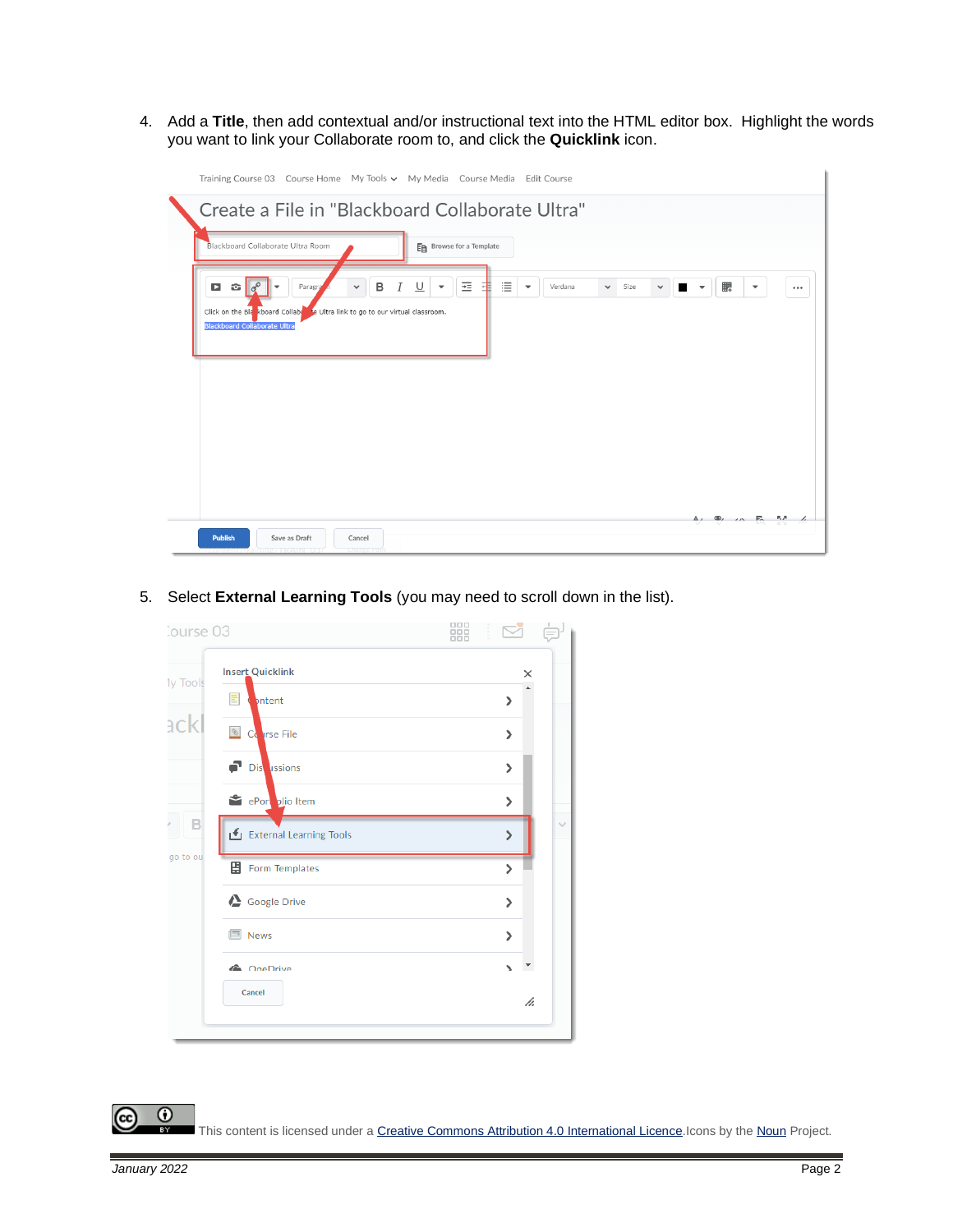4. Add a **Title**, then add contextual and/or instructional text into the HTML editor box. Highlight the words you want to link your Collaborate room to, and click the **Quicklink** icon.

| Training Course 03 Course Home My Tools v My Media Course Media Edit Course                                                                                                                                                                                                                                                                                                            |                                                            |  |  |  |  |  |
|----------------------------------------------------------------------------------------------------------------------------------------------------------------------------------------------------------------------------------------------------------------------------------------------------------------------------------------------------------------------------------------|------------------------------------------------------------|--|--|--|--|--|
| Create a File in "Blackboard Collaborate Ultra"                                                                                                                                                                                                                                                                                                                                        |                                                            |  |  |  |  |  |
| Blackboard Collaborate Ultra Room<br>En Browse for a Template                                                                                                                                                                                                                                                                                                                          |                                                            |  |  |  |  |  |
| 這<br>굔<br>$\mathbf{D}$<br>$\mathbf{G}$ $\sigma^{\circ}$<br>в<br>∪<br>Paragra<br>I<br>Verdana<br>弔<br>Size<br>$\checkmark$<br>$\overline{\phantom{a}}$<br>$\checkmark$<br>$\checkmark$<br>$\overline{\phantom{a}}$<br>$\overline{\phantom{a}}$<br>a series de<br>Click on the Blankboard Collabert to Ultra link to go to our virtual classroom.<br><b>Blackboard Collaborate Ultra</b> | 騦<br>$\overline{\phantom{a}}$<br>$\cdots$                  |  |  |  |  |  |
| Save as Draft<br><b>Publish</b><br>Cancel                                                                                                                                                                                                                                                                                                                                              | $\Delta$ , $\Phi$ , $\Delta$ , $\Xi$ , $\Delta$ , $\Delta$ |  |  |  |  |  |

5. Select **External Learning Tools** (you may need to scroll down in the list).

| Course 03 |                          | 器 |                       |     |
|-----------|--------------------------|---|-----------------------|-----|
| 1y Tools  | <b>Insert Quicklink</b>  |   |                       | ×   |
|           | bntent                   |   | ⋗                     |     |
| ackl      | <b>&amp;</b> Corrse File |   | ⋋                     |     |
|           | Dis ussions              |   | $\mathbf{\mathbf{b}}$ |     |
|           | ePort plio Item          |   | $\mathcal{P}$         |     |
| B         | External Learning Tools  |   | ⋟                     |     |
| go to ou  | 圕<br>Form Templates      |   | ⋗                     |     |
|           | Google Drive             |   | ⋗                     |     |
|           | I News                   |   | $\mathbf{z}$          |     |
|           | <b>ConeDrive</b>         |   | N                     | UT. |
|           | Cancel                   |   |                       | h.  |
|           |                          |   |                       |     |

This content is licensed under [a Creative Commons Attribution 4.0 International Licence.I](https://creativecommons.org/licenses/by/4.0/)cons by th[e Noun](https://creativecommons.org/website-icons/) Project.

(cc

 $\odot$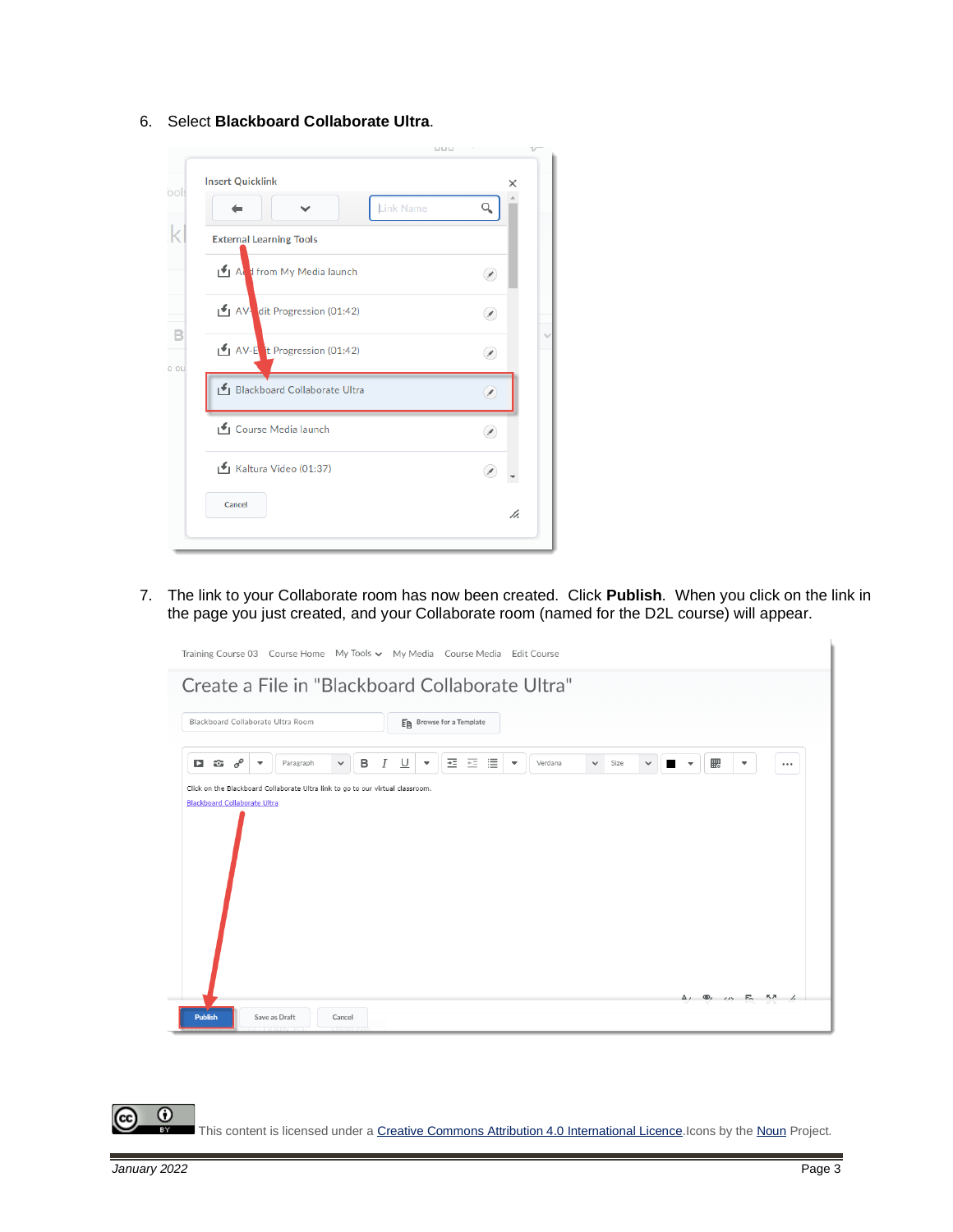6. Select **Blackboard Collaborate Ultra**.



7. The link to your Collaborate room has now been created. Click **Publish**. When you click on the link in the page you just created, and your Collaborate room (named for the D2L course) will appear.



 $\odot$ This content is licensed under [a Creative Commons Attribution 4.0 International Licence.I](https://creativecommons.org/licenses/by/4.0/)cons by th[e Noun](https://creativecommons.org/website-icons/) Project.